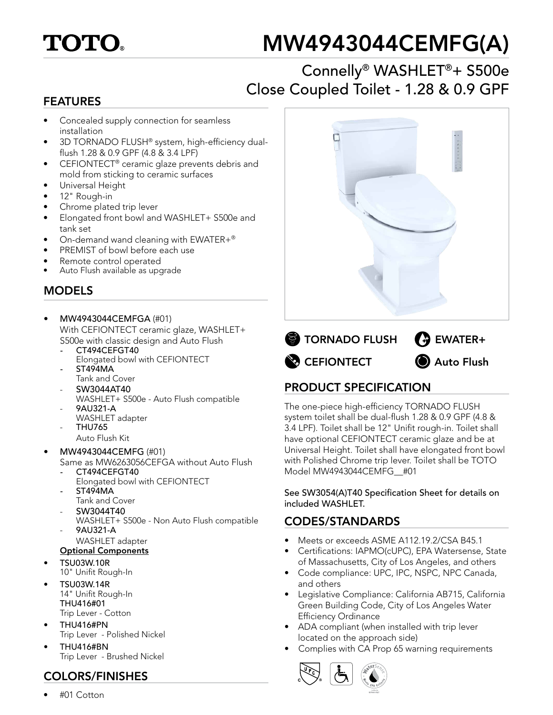

# MW4943044CEMFG(A)

## Connelly® WASHLET®+ S500e Close Coupled Toilet - 1.28 & 0.9 GPF

#### FEATURES

- Concealed supply connection for seamless installation
- 3D TORNADO FLUSH® system, high-efficiency dualflush 1.28 & 0.9 GPF (4.8 & 3.4 LPF)
- CEFIONTECT® ceramic glaze prevents debris and mold from sticking to ceramic surfaces
- Universal Height
- 12" Rough-in
- Chrome plated trip lever
- Elongated front bowl and WASHLET+ S500e and tank set
- On-demand wand cleaning with EWATER+®
- PREMIST of bowl before each use
- Remote control operated
- Auto Flush available as upgrade

#### MODELS

- MW4943044CEMFGA (#01) With CEFIONTECT ceramic glaze, WASHLET+ S500e with classic design and Auto Flush
	- *-* CT494CEFGT40 Elongated bowl with CEFIONTECT *-* ST494MA
	- Tank and Cover
	- SW3044AT40 WASHLET+ S500e - Auto Flush compatible
	- 9AU321-A
	- WASHLET adapter
	- THU765
		- Auto Flush Kit
- MW4943044CEMFG (#01) Same as MW6263056CEFGA without Auto Flush
	- *-* CT494CEFGT40
	- Elongated bowl with CEFIONTECT *-* ST494MA
	- Tank and Cover
	- SW3044T40
	- WASHLET+ S500e Non Auto Flush compatible - 9AU321-A
	- WASHLET adapter Optional Components
- TSU03W.10R
- 10" Unifit Rough-In
- TSU03W.14R 14" Unifit Rough-In THU416#01 Trip Lever - Cotton
- THU416#PN Trip Lever - Polished Nickel
- THU416#BN Trip Lever - Brushed Nickel

#### COLORS/FINISHES

• #01 Cotton





### PRODUCT SPECIFICATION

The one-piece high-efficiency TORNADO FLUSH system toilet shall be dual-flush 1.28 & 0.9 GPF (4.8 & 3.4 LPF). Toilet shall be 12" Unifit rough-in. Toilet shall have optional CEFIONTECT ceramic glaze and be at Universal Height. Toilet shall have elongated front bowl with Polished Chrome trip lever. Toilet shall be TOTO Model MW4943044CEMFG\_\_#01

#### See SW3054(A)T40 Specification Sheet for details on included WASHLET.

#### CODES/STANDARDS

- Meets or exceeds ASME A112.19.2/CSA B45.1
- Certifications: IAPMO(cUPC), EPA Watersense, State of Massachusetts, City of Los Angeles, and others
- Code compliance: UPC, IPC, NSPC, NPC Canada, and others
- Legislative Compliance: California AB715, California Green Building Code, City of Los Angeles Water Efficiency Ordinance
- ADA compliant (when installed with trip lever located on the approach side)
- Complies with CA Prop 65 warning requirements